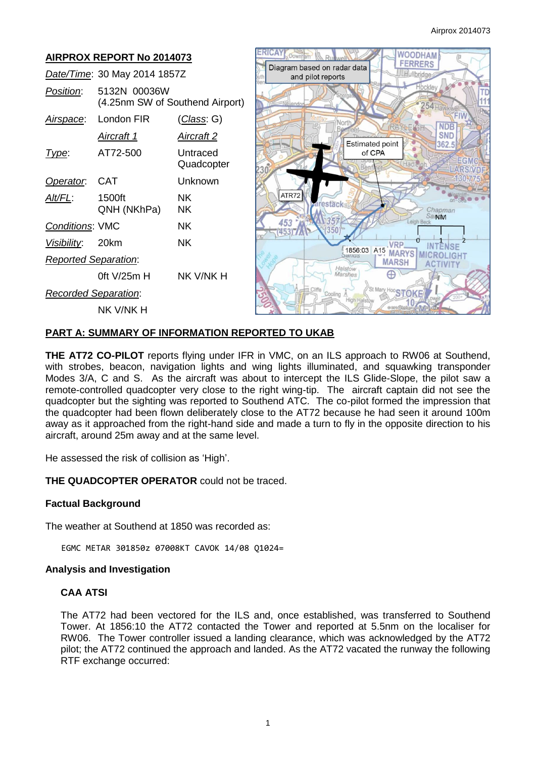

# **PART A: SUMMARY OF INFORMATION REPORTED TO UKAB**

**THE AT72 CO-PILOT** reports flying under IFR in VMC, on an ILS approach to RW06 at Southend, with strobes, beacon, navigation lights and wing lights illuminated, and squawking transponder Modes 3/A, C and S. As the aircraft was about to intercept the ILS Glide-Slope, the pilot saw a remote-controlled quadcopter very close to the right wing-tip. The aircraft captain did not see the quadcopter but the sighting was reported to Southend ATC. The co-pilot formed the impression that the quadcopter had been flown deliberately close to the AT72 because he had seen it around 100m away as it approached from the right-hand side and made a turn to fly in the opposite direction to his aircraft, around 25m away and at the same level.

He assessed the risk of collision as 'High'.

**THE QUADCOPTER OPERATOR** could not be traced.

### **Factual Background**

The weather at Southend at 1850 was recorded as:

EGMC METAR 301850z 07008KT CAVOK 14/08 Q1024=

### **Analysis and Investigation**

### **CAA ATSI**

The AT72 had been vectored for the ILS and, once established, was transferred to Southend Tower. At 1856:10 the AT72 contacted the Tower and reported at 5.5nm on the localiser for RW06. The Tower controller issued a landing clearance, which was acknowledged by the AT72 pilot; the AT72 continued the approach and landed. As the AT72 vacated the runway the following RTF exchange occurred: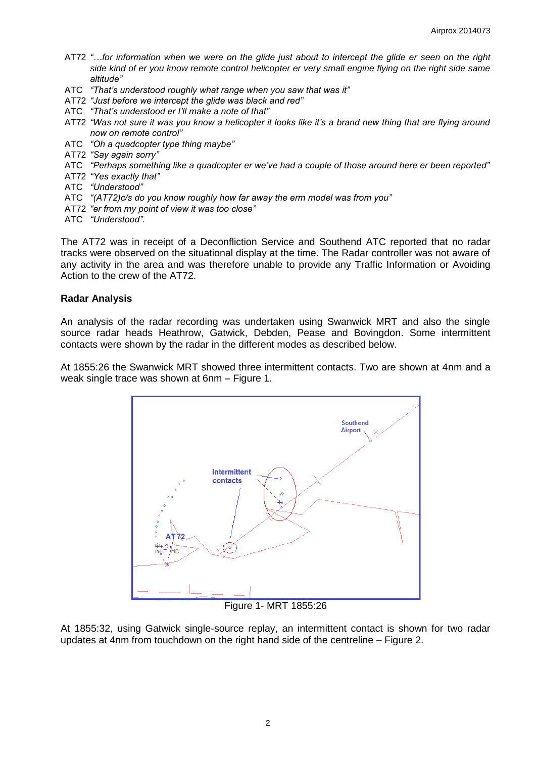- AT72 *"…for information when we were on the glide just about to intercept the glide er seen on the right side kind of er you know remote control helicopter er very small engine flying on the right side same altitude"*
- ATC *"That's understood roughly what range when you saw that was it"*
- AT72 *"Just before we intercept the glide was black and red"*
- ATC *"That's understood er I'll make a note of that"*
- AT72 *"Was not sure it was you know a helicopter it looks like it's a brand new thing that are flying around now on remote control"*
- ATC *"Oh a quadcopter type thing maybe"*
- AT72 *"Say again sorry"*
- ATC *"Perhaps something like a quadcopter er we've had a couple of those around here er been reported"*
- AT72 *"Yes exactly that"*
- ATC *"Understood"*
- ATC *"(AT72)c/s do you know roughly how far away the erm model was from you"*
- AT72 *"er from my point of view it was too close"*
- ATC *"Understood".*

The AT72 was in receipt of a Deconfliction Service and Southend ATC reported that no radar tracks were observed on the situational display at the time. The Radar controller was not aware of any activity in the area and was therefore unable to provide any Traffic Information or Avoiding Action to the crew of the AT72.

### **Radar Analysis**

An analysis of the radar recording was undertaken using Swanwick MRT and also the single source radar heads Heathrow, Gatwick, Debden, Pease and Bovingdon. Some intermittent contacts were shown by the radar in the different modes as described below.

At 1855:26 the Swanwick MRT showed three intermittent contacts. Two are shown at 4nm and a weak single trace was shown at 6nm – Figure 1.



Figure 1- MRT 1855:26

At 1855:32, using Gatwick single-source replay, an intermittent contact is shown for two radar updates at 4nm from touchdown on the right hand side of the centreline – Figure 2.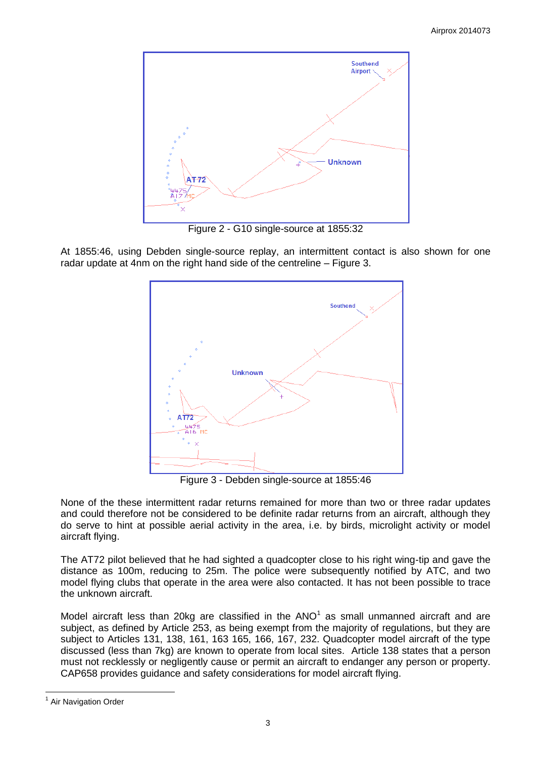

Figure 2 - G10 single-source at 1855:32

At 1855:46, using Debden single-source replay, an intermittent contact is also shown for one radar update at 4nm on the right hand side of the centreline – Figure 3.



Figure 3 - Debden single-source at 1855:46

None of the these intermittent radar returns remained for more than two or three radar updates and could therefore not be considered to be definite radar returns from an aircraft, although they do serve to hint at possible aerial activity in the area, i.e. by birds, microlight activity or model aircraft flying.

The AT72 pilot believed that he had sighted a quadcopter close to his right wing-tip and gave the distance as 100m, reducing to 25m. The police were subsequently notified by ATC, and two model flying clubs that operate in the area were also contacted. It has not been possible to trace the unknown aircraft.

Model aircraft less than 20kg are classified in the  $ANO<sup>1</sup>$  as small unmanned aircraft and are subject, as defined by Article 253, as being exempt from the majority of regulations, but they are subject to Articles 131, 138, 161, 163 165, 166, 167, 232. Quadcopter model aircraft of the type discussed (less than 7kg) are known to operate from local sites. Article 138 states that a person must not recklessly or negligently cause or permit an aircraft to endanger any person or property. CAP658 provides guidance and safety considerations for model aircraft flying.

 $\overline{a}$ 

<sup>&</sup>lt;sup>1</sup> Air Navigation Order